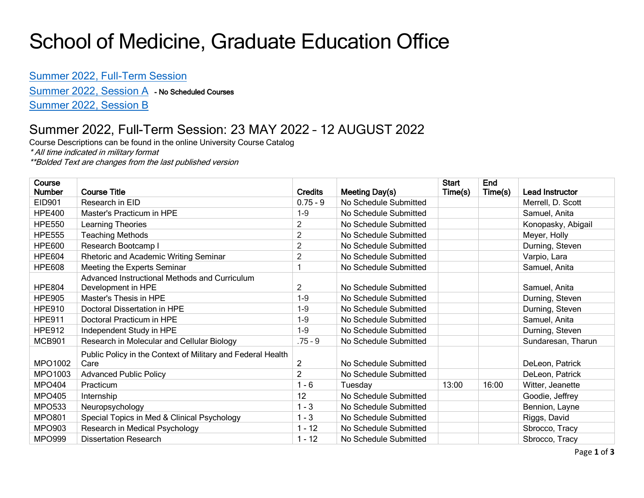# School of Medicine, Graduate Education Office

### [Summer 2022, Full-Term Session](#page-0-0)

[Summer 2022, Session A](#page-1-0) - No Scheduled Courses

[Summer 2022, Session B](#page-2-0)

### <span id="page-0-0"></span>Summer 2022, Full-Term Session: 23 MAY 2022 – 12 AUGUST 2022

Course Descriptions can be found in the online University Course Catalog

\* All time indicated in military format

\*\*Bolded Text are changes from the last published version

| Course<br><b>Number</b> | <b>Course Title</b>                                                 | <b>Credits</b> | Meeting Day(s)        | <b>Start</b><br>Time(s) | End<br>Time(s) | <b>Lead Instructor</b> |
|-------------------------|---------------------------------------------------------------------|----------------|-----------------------|-------------------------|----------------|------------------------|
| EID901                  | Research in EID                                                     | $0.75 - 9$     | No Schedule Submitted |                         |                | Merrell, D. Scott      |
| <b>HPE400</b>           | Master's Practicum in HPE                                           | $1 - 9$        | No Schedule Submitted |                         |                | Samuel, Anita          |
| <b>HPE550</b>           | Learning Theories                                                   | 2              | No Schedule Submitted |                         |                | Konopasky, Abigail     |
| <b>HPE555</b>           | <b>Teaching Methods</b>                                             | 2              | No Schedule Submitted |                         |                | Meyer, Holly           |
| <b>HPE600</b>           | Research Bootcamp I                                                 | $\overline{2}$ | No Schedule Submitted |                         |                | Durning, Steven        |
| <b>HPE604</b>           | Rhetoric and Academic Writing Seminar                               | 2              | No Schedule Submitted |                         |                | Varpio, Lara           |
| <b>HPE608</b>           | Meeting the Experts Seminar                                         |                | No Schedule Submitted |                         |                | Samuel, Anita          |
| <b>HPE804</b>           | Advanced Instructional Methods and Curriculum<br>Development in HPE | $\overline{2}$ | No Schedule Submitted |                         |                | Samuel, Anita          |
| <b>HPE905</b>           | Master's Thesis in HPE                                              | $1-9$          | No Schedule Submitted |                         |                | Durning, Steven        |
| <b>HPE910</b>           | Doctoral Dissertation in HPE                                        | $1 - 9$        | No Schedule Submitted |                         |                | Durning, Steven        |
| <b>HPE911</b>           | Doctoral Practicum in HPE                                           | $1-9$          | No Schedule Submitted |                         |                | Samuel, Anita          |
| <b>HPE912</b>           | Independent Study in HPE                                            | $1-9$          | No Schedule Submitted |                         |                | Durning, Steven        |
| <b>MCB901</b>           | Research in Molecular and Cellular Biology                          | $.75 - 9$      | No Schedule Submitted |                         |                | Sundaresan, Tharun     |
| MPO1002                 | Public Policy in the Context of Military and Federal Health<br>Care | 2              | No Schedule Submitted |                         |                | DeLeon, Patrick        |
| MPO1003                 | <b>Advanced Public Policy</b>                                       | $\overline{2}$ | No Schedule Submitted |                         |                | DeLeon, Patrick        |
| <b>MPO404</b>           | Practicum                                                           | $1 - 6$        | Tuesday               | 13:00                   | 16:00          | Witter, Jeanette       |
| <b>MPO405</b>           | Internship                                                          | 12             | No Schedule Submitted |                         |                | Goodie, Jeffrey        |
| <b>MPO533</b>           | Neuropsychology                                                     | $1 - 3$        | No Schedule Submitted |                         |                | Bennion, Layne         |
| <b>MPO801</b>           | Special Topics in Med & Clinical Psychology                         | $1 - 3$        | No Schedule Submitted |                         |                | Riggs, David           |
| MPO903                  | Research in Medical Psychology                                      | $1 - 12$       | No Schedule Submitted |                         |                | Sbrocco, Tracy         |
| <b>MPO999</b>           | <b>Dissertation Research</b>                                        | $1 - 12$       | No Schedule Submitted |                         |                | Sbrocco, Tracy         |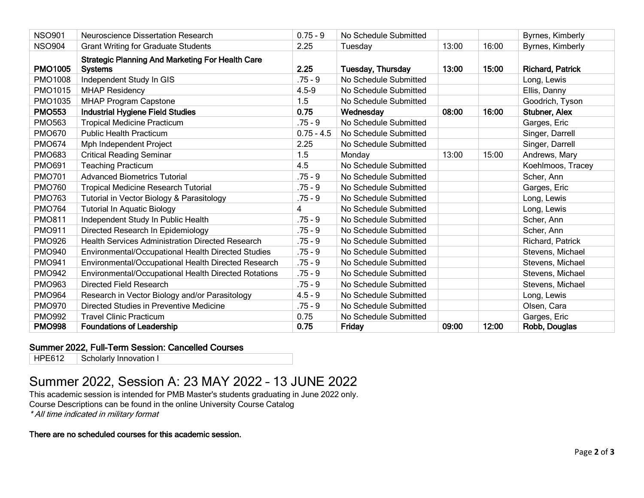| <b>NSO901</b>  | <b>Neuroscience Dissertation Research</b>                                 | $0.75 - 9$   | No Schedule Submitted    |       |       | Byrnes, Kimberly        |
|----------------|---------------------------------------------------------------------------|--------------|--------------------------|-------|-------|-------------------------|
| <b>NSO904</b>  | <b>Grant Writing for Graduate Students</b>                                | 2.25         | Tuesday                  | 13:00 | 16:00 | Byrnes, Kimberly        |
| <b>PMO1005</b> | <b>Strategic Planning And Marketing For Health Care</b><br><b>Systems</b> | 2.25         | <b>Tuesday, Thursday</b> | 13:00 | 15:00 | <b>Richard, Patrick</b> |
| <b>PMO1008</b> | Independent Study In GIS                                                  | $.75 - 9$    | No Schedule Submitted    |       |       | Long, Lewis             |
| <b>PMO1015</b> | <b>MHAP Residency</b>                                                     | $4.5 - 9$    | No Schedule Submitted    |       |       | Ellis, Danny            |
| PMO1035        | <b>MHAP Program Capstone</b>                                              | 1.5          | No Schedule Submitted    |       |       | Goodrich, Tyson         |
| <b>PMO553</b>  | <b>Industrial Hygiene Field Studies</b>                                   | 0.75         | Wednesday                | 08:00 | 16:00 | <b>Stubner, Alex</b>    |
| <b>PMO563</b>  | <b>Tropical Medicine Practicum</b>                                        | $.75 - 9$    | No Schedule Submitted    |       |       | Garges, Eric            |
| <b>PMO670</b>  | <b>Public Health Practicum</b>                                            | $0.75 - 4.5$ | No Schedule Submitted    |       |       | Singer, Darrell         |
| <b>PMO674</b>  | Mph Independent Project                                                   | 2.25         | No Schedule Submitted    |       |       | Singer, Darrell         |
| <b>PMO683</b>  | <b>Critical Reading Seminar</b>                                           | 1.5          | Monday                   | 13:00 | 15:00 | Andrews, Mary           |
| <b>PMO691</b>  | <b>Teaching Practicum</b>                                                 | 4.5          | No Schedule Submitted    |       |       | Koehlmoos, Tracey       |
| <b>PMO701</b>  | <b>Advanced Biometrics Tutorial</b>                                       | $.75 - 9$    | No Schedule Submitted    |       |       | Scher, Ann              |
| <b>PMO760</b>  | <b>Tropical Medicine Research Tutorial</b>                                | $.75 - 9$    | No Schedule Submitted    |       |       | Garges, Eric            |
| <b>PMO763</b>  | Tutorial in Vector Biology & Parasitology                                 | $.75 - 9$    | No Schedule Submitted    |       |       | Long, Lewis             |
| <b>PMO764</b>  | <b>Tutorial In Aquatic Biology</b>                                        | 4            | No Schedule Submitted    |       |       | Long, Lewis             |
| <b>PMO811</b>  | Independent Study In Public Health                                        | $.75 - 9$    | No Schedule Submitted    |       |       | Scher, Ann              |
| <b>PMO911</b>  | Directed Research In Epidemiology                                         | $.75 - 9$    | No Schedule Submitted    |       |       | Scher, Ann              |
| <b>PMO926</b>  | <b>Health Services Administration Directed Research</b>                   | $.75 - 9$    | No Schedule Submitted    |       |       | Richard, Patrick        |
| <b>PMO940</b>  | Environmental/Occupational Health Directed Studies                        | $.75 - 9$    | No Schedule Submitted    |       |       | Stevens, Michael        |
| <b>PMO941</b>  | Environmental/Occupational Health Directed Research                       | $.75 - 9$    | No Schedule Submitted    |       |       | Stevens, Michael        |
| <b>PMO942</b>  | Environmental/Occupational Health Directed Rotations                      | $.75 - 9$    | No Schedule Submitted    |       |       | Stevens, Michael        |
| <b>PMO963</b>  | <b>Directed Field Research</b>                                            | $.75 - 9$    | No Schedule Submitted    |       |       | Stevens, Michael        |
| <b>PMO964</b>  | Research in Vector Biology and/or Parasitology                            | $4.5 - 9$    | No Schedule Submitted    |       |       | Long, Lewis             |
| <b>PMO970</b>  | Directed Studies in Preventive Medicine                                   | $.75 - 9$    | No Schedule Submitted    |       |       | Olsen, Cara             |
| <b>PMO992</b>  | <b>Travel Clinic Practicum</b>                                            | 0.75         | No Schedule Submitted    |       |       | Garges, Eric            |
| <b>PMO998</b>  | <b>Foundations of Leadership</b>                                          | 0.75         | Friday                   | 09:00 | 12:00 | Robb, Douglas           |

#### Summer 2022, Full-Term Session: Cancelled Courses

<span id="page-1-0"></span>HPE612 | Scholarly Innovation I

### Summer 2022, Session A: 23 MAY 2022 – 13 JUNE 2022

This academic session is intended for PMB Master's students graduating in June 2022 only. Course Descriptions can be found in the online University Course Catalog \* All time indicated in military format

#### There are no scheduled courses for this academic session.